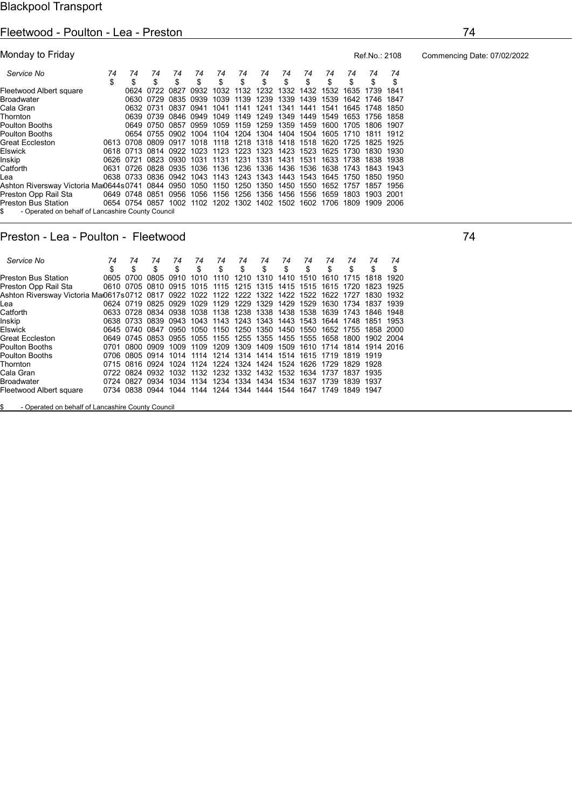### Fleetwood - Poulton - Lea - Preston 74

| Monday to Friday                                                               |    |                |           |           |                     |    |    |                                                                       |    |    |      |           | Ref.No.: 2108  |      |
|--------------------------------------------------------------------------------|----|----------------|-----------|-----------|---------------------|----|----|-----------------------------------------------------------------------|----|----|------|-----------|----------------|------|
| Service No                                                                     | 74 | 74             | 74        | 74        | 74                  | 74 | 74 | 74                                                                    | 74 | 74 | 74   | 74        | 74             | 74   |
|                                                                                | \$ | \$             | \$        | \$        | \$                  | \$ | \$ | \$                                                                    | \$ | \$ | \$   | \$        | \$             | \$   |
| Fleetwood Albert square                                                        |    |                | 0624 0722 | 0827 0932 |                     |    |    | 1032 1132 1232 1332 1432 1532 1635 1739                               |    |    |      |           |                | 1841 |
| Broadwater                                                                     |    |                |           |           | 0630 0729 0835 0939 |    |    | 1039 1139 1239 1339 1439 1539 1642 1746 1847                          |    |    |      |           |                |      |
| Cala Gran                                                                      |    |                |           |           |                     |    |    | 0632 0731 0837 0941 1041 1141 1241 1341 1441                          |    |    | 1541 |           | 1645 1748 1850 |      |
| Thornton                                                                       |    |                |           |           |                     |    |    | 0639 0739 0846 0949 1049 1149 1249 1349 1449 1549                     |    |    |      |           | 1653 1756      | 1858 |
| Poulton Booths                                                                 |    |                |           |           |                     |    |    | 0649 0750 0857 0959 1059 1159 1259 1359 1459                          |    |    |      |           | 1600 1705 1806 | 1907 |
| Poulton Booths                                                                 |    |                |           |           |                     |    |    | 0654 0755 0902 1004 1104 1204 1304 1404 1504 1605 1710 1811 1912      |    |    |      |           |                |      |
| Great Eccleston                                                                |    |                |           |           |                     |    |    | 0613 0708 0809 0917 1018 1118 1218 1318 1418 1518 1620 1725 1825 1925 |    |    |      |           |                |      |
| Elswick                                                                        |    |                |           |           |                     |    |    | 0618 0713 0814 0922 1023 1123 1223 1323 1423 1523 1625 1730           |    |    |      |           | 1830           | 1930 |
| Inskip                                                                         |    |                |           |           |                     |    |    | 0626 0721 0823 0930 1031 1131 1231 1331 1431 1531                     |    |    |      | 1633 1738 | 1838           | 1938 |
| Catforth                                                                       |    |                |           |           |                     |    |    | 0631 0726 0828 0935 1036 1136 1236 1336 1436 1536 1638 1743           |    |    |      |           | 1843           | 1943 |
| Lea                                                                            |    |                |           |           |                     |    |    | 0638 0733 0836 0942 1043 1143 1243 1343 1443 1543 1645 1750           |    |    |      |           | 1850           | 1950 |
| Ashton Riversway Victoria Mai0644s0741 0844 0950 1050 1150 1250 1350 1450 1550 |    |                |           |           |                     |    |    |                                                                       |    |    |      | 1652 1757 | 1857           | 1956 |
| Preston Opp Rail Sta                                                           |    | 0649 0748 0851 |           | 0956      |                     |    |    | 1056 1156 1256 1356 1456 1556                                         |    |    | 1659 | 1803      | 1903 2001      |      |
| Preston Bus Station                                                            |    |                |           |           |                     |    |    | 0654 0754 0857 1002 1102 1202 1302 1402 1502 1602 1706                |    |    |      | 1809      | 1909 2006      |      |
| - Operated on behalf of Lancashire County Council<br>S.                        |    |                |           |           |                     |    |    |                                                                       |    |    |      |           |                |      |

### Preston - Lea - Poulton - Fleetwood 74

 Service No 74 74 74 74 74 74 74 74 74 74 74 74 74 74 \$ \$ \$ \$ \$ \$ \$ \$ \$ \$ \$ \$ \$ \$ Preston Bus Station 0605 0700 0805 0910 1010 1110 1210 1310 1410 1510 1610 1715 1818 1920 Preston Opp Rail Sta 0610 0705 0810 0915 1015 1115 1215 1315 1415 1515 1615 1720 1823 1925 Ashton Riversway Victoria Mai0617s0712 0817 0922 1022 1122 1222 1322 1422 1522 1622 1727 1830 1932 Lea 0624 0719 0825 0929 1029 1129 1229 1329 1429 1529 1630 1734 1837 1939 Catforth 0633 0728 0834 0938 1038 1138 1238 1338 1438 1538 1639 1743 1846 1948 Inskip 0638 0733 0839 0943 1043 1143 1243 1343 1443 1543 1644 1748 1851 1953 0645 0740 0847 0950 1050 1150 1250 1350 1450 1550<br>0649 0745 0853 0955 1055 1155 1255 1355 1455 1555 Great Eccleston 0649 0745 0853 0955 1055 1155 1255 1355 1455 1555 1658 1800 1902 2004 Poulton Booths 0701 0800 0909 1009 1109 1209 1309 1409 1509 1610 1714 1814 1914 2016 Poulton Booths 0706 0805 0914 1014 1114 1214 1314 1414 1514 1615 1719 1819 1919 Thornton 0715 0816 0924 1024 1124 1224 1324 1424 1524 1626 1729 1829 1928 0722 0824 0932 1032 1132<br>0724 0827 0934 1034 1134 Broadwater 0724 0827 0934 1034 1134 1234 1334 1434 1534 1637 1739 1839 1937 Fleetwood Albert square 0734 0838 0944 1044 1144 1244 1344 1444 1544 1647 1749 1849 1947

\$ - Operated on behalf of Lancashire County Council

Commencing Date: 07/02/2022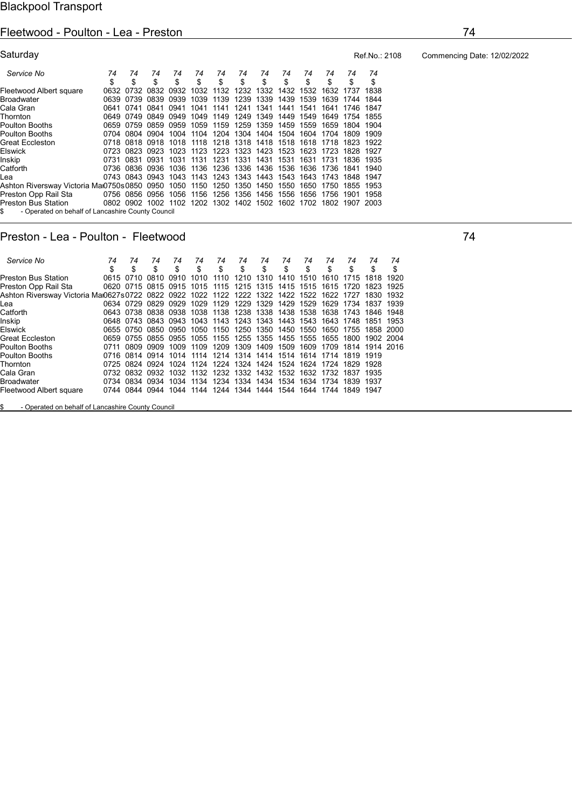## Fleetwood - Poulton - Lea - Preston 74

| Saturday                                                |       |                |                |                     |           |                     |      |                     |           |           |           |                                                                  | Ref.No.: |
|---------------------------------------------------------|-------|----------------|----------------|---------------------|-----------|---------------------|------|---------------------|-----------|-----------|-----------|------------------------------------------------------------------|----------|
| Service No                                              | 74    | 74             | 74             | 74                  | 74        | 74                  | 74   | 74                  | 74        | 74        | 74        | 74                                                               | 74       |
|                                                         | \$    | \$             | \$             | \$                  | \$        | \$                  | \$   | \$                  | \$        | \$        | \$        | \$                                                               | \$       |
| Fleetwood Albert square                                 | 0632  | 0732           |                | 0832 0932 1032 1132 |           |                     |      | 1232 1332 1432 1532 |           |           |           | 1632 1737                                                        | 1838     |
| Broadwater                                              | 0639  | 0739           | 0839           | 0939                | 1039      | 1139                | 1239 | 1339                | 1439 1539 |           |           | 1639 1744                                                        | 1844     |
| Cala Gran                                               | 0641  | 0741           | 0841           | 0941                | 1041      | 1141                | 1241 | 1341                | 1441      | 1541      | 1641      | 1746                                                             | 1847     |
| Thornton                                                | 0649  | 0749           | 0849           | 0949                | 1049 1149 |                     |      | 1249 1349           |           | 1449 1549 | 1649      | 1754                                                             | 1855     |
| Poulton Booths                                          | 0659  | 0759           | 0859           | 0959                | 1059      | 1159                |      | 1259 1359           | 1459      | 1559      |           | 1659 1804                                                        | 1904     |
| Poulton Booths                                          | 0704  | 0804           | 0904           | 1004                |           | 1104 1204           |      | 1304 1404           | 1504      | 1604      | 1704      | 1809                                                             | 1909     |
| Great Eccleston                                         | 0718. | 0818           | 0918           | 1018 1118           |           | 1218                |      | 1318 1418 1518 1618 |           |           | 1718      | 1823                                                             | 1922     |
| Elswick                                                 | 0723  | 0823           | 0923           | 1023                | 1123      | 1223                | 1323 | 1423                | 1523      | 1623      | 1723      | 1828                                                             | 1927     |
| Inskip                                                  | 0731  | 0831           | 0931           | 1031                | 1131      | 1231                | 1331 | 1431                | 1531      | 1631      | 1731      | 1836                                                             | 1935     |
| Catforth                                                | 0736  | 0836           | 0936           | 1036 1136           |           | 1236                | 1336 | 1436                | 1536      | 1636      | 1736      | 1841                                                             | 1940     |
| Lea                                                     |       |                | 0743 0843 0943 |                     |           | 1043 1143 1243 1343 |      | 1443                |           |           |           | 1543 1643 1743 1848 1947                                         |          |
| Ashton Riversway Victoria Maı0750s0850                  |       |                | 0950           | 1050                | 1150      | 1250                | 1350 | 1450                | 1550      | 1650      | 1750      | 1855                                                             | 1953     |
| Preston Opp Rail Sta                                    |       | 0756 0856 0956 |                | 1056                |           | 1156 1256           |      | 1356 1456 1556 1656 |           |           | 1756 1901 |                                                                  | 1958     |
| <b>Preston Bus Station</b>                              |       |                |                |                     |           |                     |      |                     |           |           |           | 0802 0902 1002 1102 1202 1302 1402 1502 1602 1702 1802 1907 2003 |          |
| - Operated on behalf of Lancashire County Council<br>\$ |       |                |                |                     |           |                     |      |                     |           |           |           |                                                                  |          |

## Preston - Lea - Poulton - Fleetwood 74

| Service No                                                                                         | 74 | 74                  | 74 | 74 | 74                                                               | 74 | 74 | 74                  | 74 | 74 | 74 | 74 | 74                                                                    | 74 |
|----------------------------------------------------------------------------------------------------|----|---------------------|----|----|------------------------------------------------------------------|----|----|---------------------|----|----|----|----|-----------------------------------------------------------------------|----|
|                                                                                                    |    | \$                  |    | S  |                                                                  | \$ | \$ | \$                  |    | \$ | \$ | \$ |                                                                       |    |
| Preston Bus Station                                                                                |    | 0615 0710 0810 0910 |    |    | 1010 1110                                                        |    |    | 1210 1310 1410 1510 |    |    |    |    | 1610 1715 1818 1920                                                   |    |
| Preston Opp Rail Sta                                                                               |    |                     |    |    |                                                                  |    |    |                     |    |    |    |    | 0620 0715 0815 0915 1015 1115 1215 1315 1415 1515 1615 1720 1823 1925 |    |
| Ashton Riversway Victoria Maı0627s0722_0822_0922_1022_1122_1222_1322_1422_1522_1622_1727_1830_1932 |    |                     |    |    |                                                                  |    |    |                     |    |    |    |    |                                                                       |    |
| Lea                                                                                                |    |                     |    |    |                                                                  |    |    |                     |    |    |    |    | 0634 0729 0829 0929 1029 1129 1229 1329 1429 1529 1629 1734 1837 1939 |    |
| Catforth                                                                                           |    |                     |    |    |                                                                  |    |    |                     |    |    |    |    | 0643 0738 0838 0938 1038 1138 1238 1338 1438 1538 1638 1743 1846 1948 |    |
| Inskip                                                                                             |    |                     |    |    |                                                                  |    |    |                     |    |    |    |    | 0648 0743 0843 0943 1043 1143 1243 1343 1443 1543 1643 1748 1851 1953 |    |
| Elswick                                                                                            |    |                     |    |    |                                                                  |    |    |                     |    |    |    |    | 0655 0750 0850 0950 1050 1150 1250 1350 1450 1550 1650 1755 1858 2000 |    |
| Great Eccleston                                                                                    |    |                     |    |    |                                                                  |    |    |                     |    |    |    |    | 0659 0755 0855 0955 1055 1155 1255 1355 1455 1555 1655 1800 1902 2004 |    |
| Poulton Booths                                                                                     |    |                     |    |    |                                                                  |    |    |                     |    |    |    |    | 0711 0809 0909 1009 1109 1209 1309 1409 1509 1609 1709 1814 1914 2016 |    |
| Poulton Booths                                                                                     |    |                     |    |    | 0716 0814 0914 1014 1114 1214 1314 1414 1514 1614 1714 1819 1919 |    |    |                     |    |    |    |    |                                                                       |    |
| Thornton                                                                                           |    |                     |    |    | 0725 0824 0924 1024 1124 1224 1324 1424 1524 1624 1724 1829 1928 |    |    |                     |    |    |    |    |                                                                       |    |
| Cala Gran                                                                                          |    |                     |    |    | 0732 0832 0932 1032 1132 1232 1332 1432 1532 1632 1732 1837 1935 |    |    |                     |    |    |    |    |                                                                       |    |
| Broadwater                                                                                         |    |                     |    |    | 0734 0834 0934 1034 1134 1234 1334 1434 1534 1634 1734 1839 1937 |    |    |                     |    |    |    |    |                                                                       |    |
| Fleetwood Albert square                                                                            |    |                     |    |    | 0744 0844 0944 1044 1144 1244 1344 1444 1544 1644 1744 1849 1947 |    |    |                     |    |    |    |    |                                                                       |    |

\$ - Operated on behalf of Lancashire County Council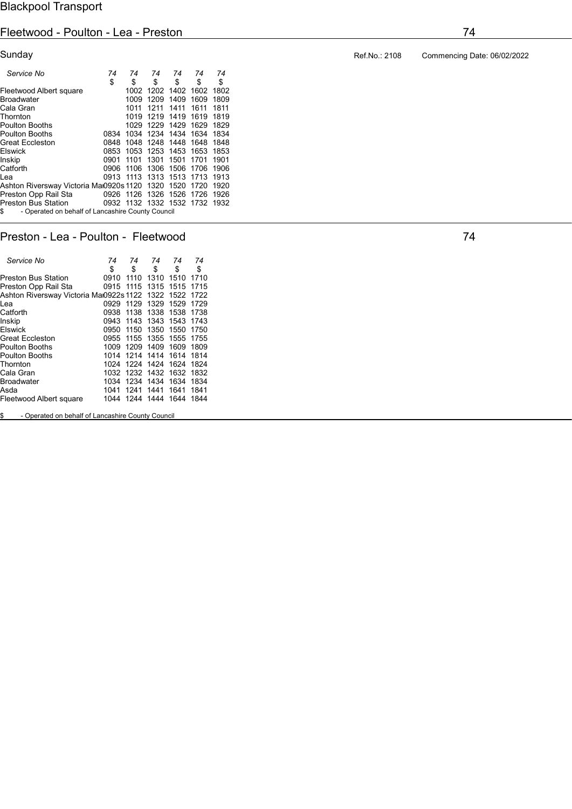## Fleetwood - Poulton - Lea - Preston 74

| Sunday                                                  |           |      |      |           |                               |      |
|---------------------------------------------------------|-----------|------|------|-----------|-------------------------------|------|
| Service No                                              | 74        | 74   | 74   | 74        | 74                            | 74   |
|                                                         | \$        | \$   | \$   | \$        | \$                            | \$   |
| Fleetwood Albert square                                 |           | 1002 |      | 1202 1402 | 1602                          | 1802 |
| <b>Broadwater</b>                                       |           | 1009 | 1209 | 1409      | 1609                          | 1809 |
| Cala Gran                                               |           | 1011 | 1211 | 1411      | 1611                          | 1811 |
| Thornton                                                |           | 1019 | 1219 | 1419      | 1619                          | 1819 |
| <b>Poulton Booths</b>                                   |           | 1029 | 1229 | 1429      | 1629                          | 1829 |
| <b>Poulton Booths</b>                                   | 0834      | 1034 | 1234 | 1434      | 1634                          | 1834 |
| <b>Great Eccleston</b>                                  | 0848      | 1048 | 1248 | 1448      | 1648                          | 1848 |
| Elswick                                                 | 0853      | 1053 | 1253 | 1453      | 1653                          | 1853 |
| Inskip                                                  | 0901      | 1101 | 1301 | 1501      | 1701                          | 1901 |
| Catforth                                                | 0906      | 1106 | 1306 | 1506      | 1706                          | 1906 |
| Lea                                                     | 0913 1113 |      | 1313 | 1513      | 1713                          | 1913 |
| Ashton Riversway Victoria Maı0920s 1120                 |           |      | 1320 | 1520      | 1720                          | 1920 |
| Preston Opp Rail Sta                                    | 0926 1126 |      | 1326 | 1526      | 1726                          | 1926 |
| <b>Preston Bus Station</b>                              |           |      |      |           | 0932 1132 1332 1532 1732 1932 |      |
| \$<br>- Operated on behalf of Lancashire County Council |           |      |      |           |                               |      |
|                                                         |           |      |      |           |                               |      |

## Preston - Lea - Poulton - Fleetwood 74

| Service No                              | 74   | 74   | 74        | 74   | 74   |
|-----------------------------------------|------|------|-----------|------|------|
|                                         | \$   | \$   | \$        | \$   | \$   |
| Preston Bus Station                     | 0910 | 1110 | 1310      | 1510 | 1710 |
| Preston Opp Rail Sta                    | 0915 | 1115 | 1315      | 1515 | 1715 |
| Ashton Riversway Victoria Mai0922s 1122 |      |      | 1322      | 1522 | 1722 |
| Lea                                     | 0929 | 1129 | 1329      | 1529 | 1729 |
| Catforth                                | 0938 | 1138 | 1338      | 1538 | 1738 |
| Inskip                                  | 0943 | 1143 | 1343      | 1543 | 1743 |
| Elswick                                 | 0950 | 1150 | 1350      | 1550 | 1750 |
| <b>Great Eccleston</b>                  | 0955 | 1155 | 1355      | 1555 | 1755 |
| <b>Poulton Booths</b>                   | 1009 | 1209 | 1409      | 1609 | 1809 |
| <b>Poulton Booths</b>                   | 1014 |      | 1214 1414 | 1614 | 1814 |
| Thornton                                | 1024 | 1224 | 1424      | 1624 | 1824 |
| Cala Gran                               | 1032 |      | 1232 1432 | 1632 | 1832 |
| <b>Broadwater</b>                       | 1034 | 1234 | 1434      | 1634 | 1834 |
| Asda                                    | 1041 | 1241 | 1441      | 1641 | 1841 |
| Fleetwood Albert square                 | 1044 | 1244 | 1444      | 1644 | 1844 |
|                                         |      |      |           |      |      |

\$ - Operated on behalf of Lancashire County Council

Ref.No.: 2108 Commencing Date: 06/02/2022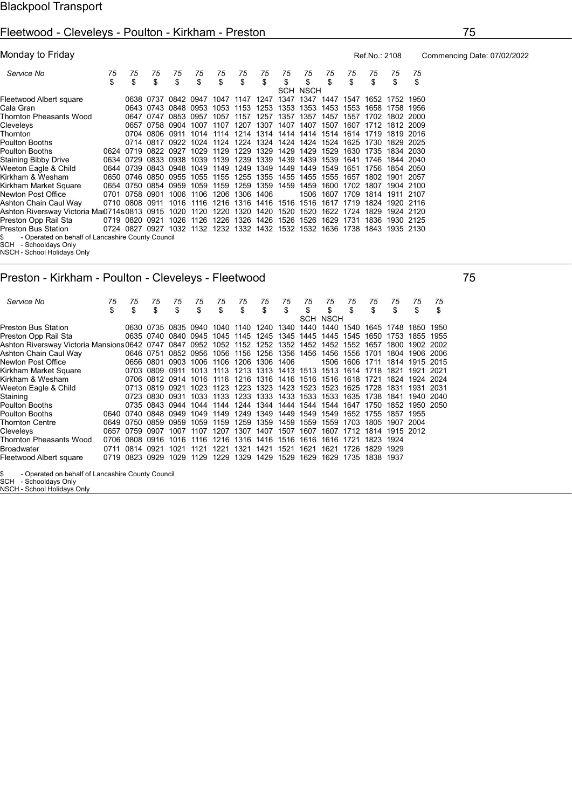## Fleetwood - Cleveleys - Poulton - Kirkham - Preston 75

| Monday to Friday                                       |    |                |                     |                               |      |      |           |                |                          |           |      |                                         | Ref.No.: 2108 |                | Com  |  |
|--------------------------------------------------------|----|----------------|---------------------|-------------------------------|------|------|-----------|----------------|--------------------------|-----------|------|-----------------------------------------|---------------|----------------|------|--|
| Service No                                             | 75 | 75             | 75                  | 75                            | 75   | 75   | 75        | 75             | 75                       | 75        | 75   | 75                                      | 75            | 75             | 75   |  |
|                                                        | \$ | \$             | \$                  | \$                            | \$   | \$   | \$        | \$             | \$                       | \$        | \$   | \$                                      | \$            | \$             | \$   |  |
|                                                        |    |                |                     |                               |      |      |           |                |                          | SCH NSCH  |      |                                         |               |                |      |  |
| Fleetwood Albert square                                |    |                |                     | 0638 0737 0842 0947 1047 1147 |      |      |           | 1247           | 1347                     | 1347 1447 |      | 1547                                    |               | 1652 1752      | 1950 |  |
| Cala Gran                                              |    |                |                     | 0643 0743 0848 0953           |      | 1053 | 1153      |                | 1253 1353 1353           |           | 1453 | 1553                                    | 1658          | 1758           | 1956 |  |
| Thornton Pheasants Wood                                |    | 0647           | 0747                | 0853                          | 0957 | 1057 | 1157      | 1257           | 1357                     | 1357      | 1457 | 1557                                    | 1702          | 1802 2000      |      |  |
| Cleveleys                                              |    |                |                     | 0657 0758 0904                | 1007 |      |           |                | 1107 1207 1307 1407 1407 |           | 1507 | 1607                                    |               | 1712 1812 2009 |      |  |
| Thornton                                               |    |                | 0704 0806           | 0911                          | 1014 | 1114 |           |                |                          |           |      | 1214 1314 1414 1414 1514 1614           | 1719          | 1819 2016      |      |  |
| Poulton Booths                                         |    |                | 0714 0817           | 0922                          | 1024 | 1124 |           |                | 1224 1324 1424 1424      |           | 1524 | 1625                                    | 1730          | 1829 2025      |      |  |
| Poulton Booths                                         |    |                |                     | 0624 0719 0822 0927           | 1029 | 1129 |           |                | 1229 1329 1429 1429      |           | 1529 | 1630                                    | 1735          | 1834 2030      |      |  |
| Staining Bibby Drive                                   |    | 0634 0729      |                     | 0833 0938                     | 1039 | 1139 |           |                | 1239 1339 1439           | 1439      | 1539 | 1641                                    | 1746          | 1844 2040      |      |  |
| Weeton Eagle & Child                                   |    |                | 0644 0739 0843 0948 |                               | 1049 | 1149 | 1249      | 1349           | 1449                     | 1449      | 1549 | 1651                                    | 1756          | 1854 2050      |      |  |
| Kirkham & Wesham                                       |    |                | 0650 0746 0850      | 0955                          | 1055 | 1155 |           |                | 1255 1355 1455 1455      |           | 1555 | 1657                                    | 1802          | 1901           | 2057 |  |
|                                                        |    |                |                     |                               | 1059 | 1159 | 1259      | 1359           | 1459                     | 1459      | 1600 | 1702                                    | 1807          | 1904 2100      |      |  |
| Kirkham Market Square                                  |    |                | 0654 0750 0854 0959 |                               |      |      |           |                |                          |           |      |                                         |               |                |      |  |
| Newton Post Office                                     |    | 0701 0758 0901 |                     | 1006                          | 1106 | 1206 | 1306 1406 |                |                          | 1506      | 1607 | 1709                                    | 1814          | 1911 2107      |      |  |
| Ashton Chain Caul Way                                  |    | 0710 0808 0911 |                     | 1016                          | 1116 | 1216 |           | 1316 1416 1516 |                          | 1516      | 1617 | 1719                                    | 1824          | 1920 2116      |      |  |
| Ashton Riversway Victoria Mai0714s0813 0915            |    |                |                     | 1020                          | 1120 | 1220 | 1320      | 1420           | 1520                     | 1520      | 1622 | 1724                                    | 1829          | 1924 2120      |      |  |
| Preston Opp Rail Sta                                   |    | 0719 0820 0921 |                     | 1026                          | 1126 | 1226 |           |                | 1326 1426 1526           | 1526      | 1629 | 1731                                    | 1836          | 1930 2125      |      |  |
| Preston Bus Station                                    |    |                |                     | 0724 0827 0927 1032           |      |      |           |                |                          |           |      | 1132 1232 1332 1432 1532 1532 1636 1738 |               | 1843 1935 2130 |      |  |
| - Operated on behalf of Lancashire County Council<br>S |    |                |                     |                               |      |      |           |                |                          |           |      |                                         |               |                |      |  |
| <b>COLL</b><br>Cabaaldaug Only                         |    |                |                     |                               |      |      |           |                |                          |           |      |                                         |               |                |      |  |

SCH - Schooldays Only NSCH - School Holidays Only

## Preston - Kirkham - Poulton - Cleveleys - Fleetwood 75

| Service No                                       | 75   | 75<br>\$ | 75             | 75                            | 75   | 75   | 75   | 75<br>\$                                | 75   | 75        | 75                | 75             | 75<br>\$ | 75        | 75    | 75   |
|--------------------------------------------------|------|----------|----------------|-------------------------------|------|------|------|-----------------------------------------|------|-----------|-------------------|----------------|----------|-----------|-------|------|
|                                                  | \$   |          | \$             | \$                            | \$   | \$   | \$   |                                         | \$   | \$<br>SCH | \$<br><b>NSCH</b> | \$             |          | \$        | \$    | \$   |
| Preston Bus Station                              |      |          |                | 0630 0735 0835 0940 1040 1140 |      |      |      | 1240                                    | 1340 | 1440      | 1440              | 1540           | 1645     | 1748      | 1850  | 1950 |
| Preston Opp Rail Sta                             |      |          |                | 0635 0740 0840 0945           |      | 1045 | 1145 | 1245                                    | 1345 |           | 1445 1445         | 1545           | 1650     | 1753      | 1855  | 1955 |
| Ashton Riversway Victoria Mansions0642 0747 0847 |      |          |                |                               | 0952 | 1052 | 1152 | 1252                                    |      |           | 1352 1452 1452    | 1552           | 1657     | 1800      | 1902  | 2002 |
| Ashton Chain Caul Way                            |      |          |                | 0646 0751 0852 0956           |      |      |      | 1056 1156 1256 1356 1456                |      |           |                   | 1456 1556      | 1701     | 1804      | 1906  | 2006 |
| Newton Post Office                               |      | 0656     | 0801           | 0903                          | 1006 | 1106 | 1206 | 1306                                    | 1406 |           | 1506              | 1606           | 1711     | 1814      | 1915  | 2015 |
| Kirkham Market Square                            |      | 0703     | 0809           | 0911                          | 1013 | 1113 |      | 1213 1313 1413 1513                     |      |           |                   | 1513 1614      | 1718     | 1821      | 1921  | 2021 |
| Kirkham & Wesham                                 |      | 0706     | 0812 0914      |                               |      |      |      | 1016 1116 1216 1316 1416 1516 1516 1618 |      |           |                   |                | 1721     | 1824      | 1924  | 2024 |
| Weeton Eagle & Child                             |      |          | 0713 0819 0921 |                               | 1023 | 1123 |      | 1223 1323                               |      | 1423 1523 | 1523              | 1625           | 1728     | 1831      | 1931  | 2031 |
| Staining                                         |      | 0723     | 0830 0931      |                               | 1033 | 1133 |      | 1233 1333                               | 1433 |           | 1533 1533         | 1635           | 1738     | 1841      | 1940  | 2040 |
| Poulton Booths                                   |      | 0735     | 0843 0944      |                               | 1044 | 1144 | 1244 | 1344                                    | 1444 | 1544      | 1544              | 1647           | 1750     | 1852      | 1950. | 2050 |
| Poulton Booths                                   | 0640 | 0740     | 0848           | 0949                          | 1049 | 1149 | 1249 | 1349                                    | 1449 | 1549      | 1549              | 1652           | 1755     | 1857      | 1955  |      |
| Thornton Centre                                  | 0649 | 0750     | 0859           | 0959                          | 1059 | 1159 | 1259 | 1359                                    | 1459 | 1559      | 1559              | 1703           | 1805     | 1907      | 2004  |      |
| Cleveleys                                        | 0657 | 0759     | 0907           | 1007                          | 1107 | 1207 | 1307 | 1407                                    | 1507 | 1607      |                   | 1607 1712 1814 |          | 1915 2012 |       |      |
| Thornton Pheasants Wood                          | 0706 | 0808     | 0916           | 1016                          | 1116 |      |      | 1216 1316 1416                          | 1516 | 1616      | 1616              | 1721           | 1823     | 1924      |       |      |
| Broadwater                                       | 0711 | 0814     | 0921           | 1021                          | 1121 | 1221 | 1321 | 1421                                    | 1521 | 1621      | 1621              | 1726           | 1829     | 1929      |       |      |
| Fleetwood Albert square                          | 0719 | 0823     | 0929           | 1029                          | 1129 | 1229 | 1329 | 1429                                    | 1529 | 1629      | 1629              | 1735           | 1838     | 1937      |       |      |
|                                                  |      |          |                |                               |      |      |      |                                         |      |           |                   |                |          |           |       |      |

\$ - Operated on behalf of Lancashire County Council SCH - Schooldays Only NSCH - School Holidays Only

mencing Date: 07/02/2022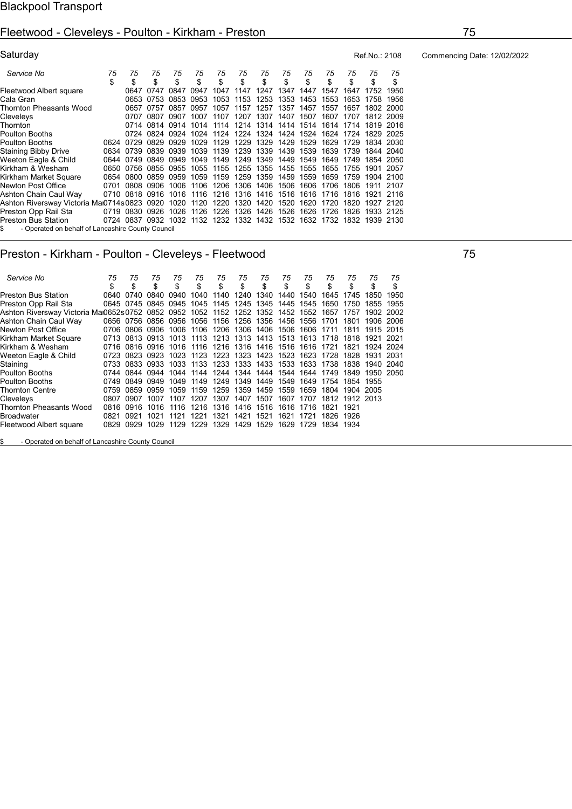#### Fleetwood - Cleveleys - Poulton - Kirkham - Preston 75

| Saturday                                          |          |                          |           |           |          |          |           |                                                                       |          |          |          |          | Ref.No.: 2108 |          |
|---------------------------------------------------|----------|--------------------------|-----------|-----------|----------|----------|-----------|-----------------------------------------------------------------------|----------|----------|----------|----------|---------------|----------|
| Service No                                        | 75<br>\$ | 75<br>\$                 | 75<br>\$  | 75<br>\$  | 75<br>\$ | 75<br>\$ | 75<br>\$  | 75<br>\$                                                              | 75<br>\$ | 75<br>\$ | 75<br>\$ | 75<br>\$ | 75<br>\$      | 75<br>\$ |
| Fleetwood Albert square                           |          | 0647                     | 0747      | 0847      | 0947     | 1047     | 1147      | 1247                                                                  | 1347     | 1447     | 1547     | 1647     | 1752          | 1950     |
| Cala Gran                                         |          | 0653                     | 0753      | 0853      | 0953     | 1053     | 1153      | 1253                                                                  | 1353     | 1453     | 1553     | 1653     | 1758          | 1956     |
| Thornton Pheasants Wood                           |          |                          | 0657 0757 | 0857      | 0957     | 1057     |           | 1157 1257                                                             | 1357     | 1457     | 1557     | 1657     | 1802 2000     |          |
| Cleveleys                                         |          | 0707                     | 0807      | 0907      | 1007     | 1107     |           | 1207 1307                                                             | 1407     | 1507     | 1607     | 1707     | 1812 2009     |          |
| Thornton                                          |          |                          |           |           |          |          |           | 0714 0814 0914 1014 1114 1214 1314 1414 1514 1614 1714                |          |          |          |          | 1819 2016     |          |
| Poulton Booths                                    |          | 0724                     | 0824      | 0924 1024 |          |          |           | 1124 1224 1324 1424 1524                                              |          |          | 1624     | 1724     | 1829          | 2025     |
| Poulton Booths                                    | 0624     | 0729                     | 0829      | 0929 1029 |          | 1129     |           | 1229 1329                                                             | 1429     | 1529     | 1629     | 1729     | 1834 2030     |          |
| <b>Staining Bibby Drive</b>                       |          | 0634 0739 0839 0939 1039 |           |           |          | 1139     |           | 1239 1339 1439 1539                                                   |          |          | 1639     | 1739     | 1844 2040     |          |
| Weeton Eagle & Child                              |          | 0644 0749 0849 0949 1049 |           |           |          |          |           | 1149 1249 1349                                                        | 1449     | 1549     | 1649     | 1749     | 1854 2050     |          |
| Kirkham & Wesham                                  | 0650     | 0756 0855                |           | 0955      | 1055     | 1155     |           | 1255 1355                                                             | 1455     | 1555     | 1655     | 1755     | 1901          | 2057     |
| Kirkham Market Square                             | 0654     | 0800                     | 0859      | 0959      | 1059     | 1159     | 1259      | 1359                                                                  | 1459     | 1559     | 1659     | 1759     | 1904 2100     |          |
| Newton Post Office                                | 0701     | 0808 0906                |           | 1006      | 1106     |          | 1206 1306 | 1406                                                                  | 1506     | 1606     | 1706     | 1806     | 1911 2107     |          |
| Ashton Chain Caul Way                             |          | 0710 0818 0916           |           | 1016      | 1116     |          |           | 1216 1316 1416                                                        | 1516     | 1616     | 1716     | 1816     | 1921          | 2116     |
| Ashton Riversway Victoria Maı0714s0823 0920       |          |                          |           | 1020      | 1120     |          |           | 1220 1320 1420                                                        | 1520     | 1620     | 1720     | 1820     | 1927 2120     |          |
| Preston Opp Rail Sta                              |          | 0719 0830                | 0926      | 1026      | 1126     | 1226     | 1326      | 1426                                                                  | 1526     | 1626     | 1726     | 1826     | 1933 2125     |          |
| <b>Preston Bus Station</b>                        |          |                          |           |           |          |          |           | 0724 0837 0932 1032 1132 1232 1332 1432 1532 1632 1732 1832 1939 2130 |          |          |          |          |               |          |
| - Operated on behalf of Lancashire County Council |          |                          |           |           |          |          |           |                                                                       |          |          |          |          |               |          |

#### Preston - Kirkham - Poulton - Cleveleys - Fleetwood 75

 Service No 75 75 75 75 75 75 75 75 75 75 75 75 75 75 \$ \$ \$ \$ \$ \$ \$ \$ \$ \$ \$ \$ \$ \$ Preston Bus Station 0640 0740 0840 0940 1040 1140 1240 1340 1440 1540 1645 1745 1850 1950 Preston Opp Rail Sta 0645 0745 0845 0945 1045 1145 1245 1345 1445 1545 1650 1750 1855 1955 Ashton Riversway Victoria Mai0652s0752 0852 0952 1052 1152 1252 1352 1452 1552 1657 1757 1902 2002<br>Ashton Chain Caul Way 0656 0756 0856 0956 1056 1156 1256 1356 1456 1556 1701 1801 1906 2006 0656 0756 0856 0956 1056 1156 1256 1356 1456 1556 1701 1801 1906 2006<br>0706 0806 0906 1006 1106 1206 1306 1406 1506 1606 1711 1811 1915 2015 Newton Post Office 0706 0806 0906 1006 1106 1206 1306 1406 1506 1606 1711 1811 1915<br>Kirkham Market Square 0713 0813 0913 1013 1113 1213 1313 1413 1513 1613 1718 1818 1921 Kirkham Market Square 0713 0813 0913 1013 1113 1213 1313 1413 1513 1613 1718 1818 1921 2021 Kirkham & Wesham 0716 0816 0916 1016 1116 1216 1416 1516 1616 1721 1821 1924<br>Weeton Eagle & Child 0723 0823 0923 1023 1123 1223 1423 1523 1623 1728 1828 19 Weeton Eagle & Child 0723 0823 0923 1023 1123 1223 1323 1423 1523 1623 1728 1828 1931 2031 Staining 0733 0833 0933 1033 1133 1233 1333 1433 1533 1633 1738 1838 1940 2040 Poulton Booths 0744 0844 0944 1044 1144 1244 1344 1444 1544 1644 1749 1849 1950 2050 0749 0849 0949 1049 1149 1249 1349 1449 1549 1649 1754 1854<br>0759 0859 0959 1059 1159 1259 1359 1459 1559 1659 1804 1904 Thornton Centre 0759 0859 0959 1059 1159 1259 1359 1459 1559 1659 1804 1904 2005 0807 0907 1007 1107 1207 1307 1407 1507 1607 1707 0816 0916 1016 1116 1216 1316 1416 1716 Thornton Pheasants Wood 0816 0916 1016 1116 1216 1316 1416 1516 1616 1716 1821 1921 Broadwater 0821 0921 1021 1121 1221 1321 1421 1521 1621 1721 1826 1926 Fleetwood Albert square 0829 0929 1029 1129 1229 1329 1429 1529 1629 1729 1834 1934

\$ - Operated on behalf of Lancashire County Council

Commencing Date: 12/02/2022